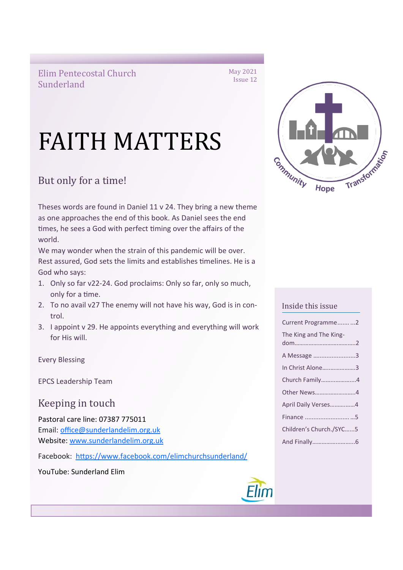Elim Pentecostal Church Sunderland

# FAITH MATTERS

But only for a time!

Theses words are found in Daniel 11 v 24. They bring a new theme as one approaches the end of this book. As Daniel sees the end times, he sees a God with perfect timing over the affairs of the world.

We may wonder when the strain of this pandemic will be over. Rest assured, God sets the limits and establishes timelines. He is a God who says:

- 1. Only so far v22-24. God proclaims: Only so far, only so much, only for a time.
- 2. To no avail v27 The enemy will not have his way, God is in control.
- 3. I appoint v 29. He appoints everything and everything will work for His will.

Every Blessing

EPCS Leadership Team

Keeping in touch

Pastoral care line: 07387 775011 Email: [office@sunderlandelim.org.uk](about:blank) Website: [www.sunderlandelim.org.uk](http://www.sunderlandelim.org.uk)

Facebook: [https://www.facebook.com/elimchurchsunderland/](about:blank)

YouTube: Sunderland Elim





## Inside this issue

| Current Programme  2    |
|-------------------------|
| The King and The King-  |
| A Message 3             |
| In Christ Alone3        |
| Church Family4          |
| Other News4             |
| April Daily Verses4     |
| Finance 5               |
| Children's Church./SYC5 |
|                         |

### May 2021 Issue 12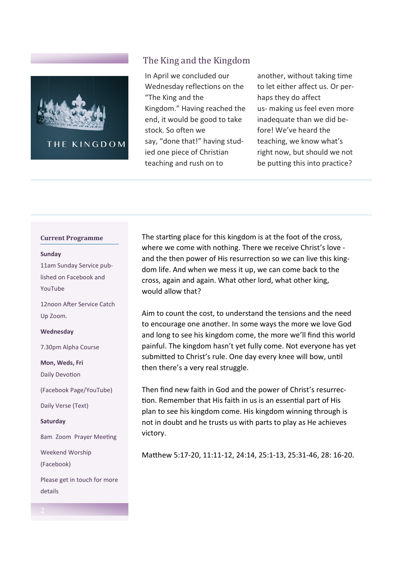

# The King and the Kingdom

In April we concluded our Wednesday reflections on the "The King and the Kingdom." Having reached the end, it would be good to take stock. So often we say, "done that!" having studied one piece of Christian teaching and rush on to

another, without taking time to let either affect us. Or perhaps they do affect us- making us feel even more inadequate than we did before! We've heard the teaching, we know what's right now, but should we not be putting this into practice?

#### **Current Programme**

#### **Sunday**

11am Sunday Service published on Facebook and YouTube

12noon After Service Catch Up Zoom.

**Wednesday**

7.30pm Alpha Course

**Mon, Weds, Fri**  Daily Devotion

(Facebook Page/YouTube)

Daily Verse (Text)

**Saturday** 

8am Zoom Prayer Meeting

Weekend Worship (Facebook)

Please get in touch for more details

The starting place for this kingdom is at the foot of the cross, where we come with nothing. There we receive Christ's love and the then power of His resurrection so we can live this kingdom life. And when we mess it up, we can come back to the cross, again and again. What other lord, what other king, would allow that?

Aim to count the cost, to understand the tensions and the need to encourage one another. In some ways the more we love God and long to see his kingdom come, the more we'll find this world painful. The kingdom hasn't yet fully come. Not everyone has yet submitted to Christ's rule. One day every knee will bow, until then there's a very real struggle.

Then find new faith in God and the power of Christ's resurrection. Remember that His faith in us is an essential part of His plan to see his kingdom come. His kingdom winning through is not in doubt and he trusts us with parts to play as He achieves victory.

Matthew 5:17-20, 11:11-12, 24:14, 25:1-13, 25:31-46, 28: 16-20.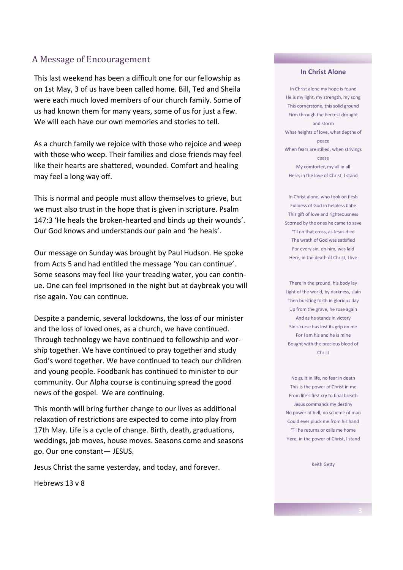## A Message of Encouragement

This last weekend has been a difficult one for our fellowship as on 1st May, 3 of us have been called home. Bill, Ted and Sheila were each much loved members of our church family. Some of us had known them for many years, some of us for just a few. We will each have our own memories and stories to tell.

As a church family we rejoice with those who rejoice and weep with those who weep. Their families and close friends may feel like their hearts are shattered, wounded. Comfort and healing may feel a long way off.

This is normal and people must allow themselves to grieve, but we must also trust in the hope that is given in scripture. Psalm 147:3 'He heals the broken-hearted and binds up their wounds'. Our God knows and understands our pain and 'he heals'.

Our message on Sunday was brought by Paul Hudson. He spoke from Acts 5 and had entitled the message 'You can continue'. Some seasons may feel like your treading water, you can continue. One can feel imprisoned in the night but at daybreak you will rise again. You can continue.

Despite a pandemic, several lockdowns, the loss of our minister and the loss of loved ones, as a church, we have continued. Through technology we have continued to fellowship and worship together. We have continued to pray together and study God's word together. We have continued to teach our children and young people. Foodbank has continued to minister to our community. Our Alpha course is continuing spread the good news of the gospel. We are continuing.

This month will bring further change to our lives as additional relaxation of restrictions are expected to come into play from 17th May. Life is a cycle of change. Birth, death, graduations, weddings, job moves, house moves. Seasons come and seasons go. Our one constant— JESUS.

Jesus Christ the same yesterday, and today, and forever.

Hebrews 13 v 8

#### **In Christ Alone**

In Christ alone my hope is found He is my light, my strength, my song This cornerstone, this solid ground Firm through the fiercest drought and storm What heights of love, what depths of peace When fears are stilled, when strivings cease My comforter, my all in all Here, in the love of Christ, I stand

In Christ alone, who took on flesh Fullness of God in helpless babe This gift of love and righteousness Scorned by the ones he came to save 'Til on that cross, as Jesus died The wrath of God was satisfied For every sin, on him, was laid Here, in the death of Christ, I live

There in the ground, his body lay Light of the world, by darkness, slain Then bursting forth in glorious day Up from the grave, he rose again And as he stands in victory Sin's curse has lost its grip on me For I am his and he is mine Bought with the precious blood of Christ

No guilt in life, no fear in death This is the power of Christ in me From life's first cry to final breath Jesus commands my destiny No power of hell, no scheme of man Could ever pluck me from his hand 'Til he returns or calls me home Here, in the power of Christ, I stand

Keith Getty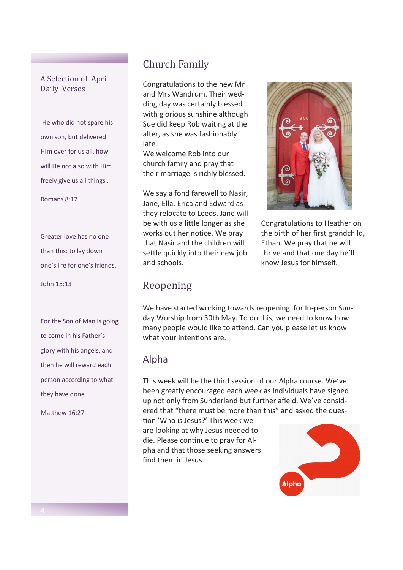## A Selection of April Daily Verses

He who did not spare his own son, but delivered Him over for us all, how will He not also with Him freely give us all things .

Romans 8:12

Greater love has no one than this: to lay down one's life for one's friends. John 15:13

For the Son of Man is going to come in his Father's glory with his angels, and then he will reward each person according to what they have done.

Matthew 16:27

# Church Family

Congratulations to the new Mr and Mrs Wandrum. Their wedding day was certainly blessed with glorious sunshine although Sue did keep Rob waiting at the alter, as she was fashionably late.

We welcome Rob into our church family and pray that their marriage is richly blessed.

We say a fond farewell to Nasir. Jane, Ella, Erica and Edward as they relocate to Leeds. Jane will be with us a little longer as she works out her notice. We pray that Nasir and the children will settle quickly into their new job and schools.



Congratulations to Heather on the birth of her first grandchild, Ethan. We pray that he will thrive and that one day he'll know Jesus for himself.

# Reopening

We have started working towards reopening for In-person Sunday Worship from 30th May. To do this, we need to know how many people would like to attend. Can you please let us know what your intentions are.

## Alpha

This week will be the third session of our Alpha course. We've been greatly encouraged each week as individuals have signed up not only from Sunderland but further afield. We've considered that "there must be more than this" and asked the ques-

tion 'Who is Jesus?' This week we are looking at why Jesus needed to die. Please continue to pray for Alpha and that those seeking answers find them in Jesus.

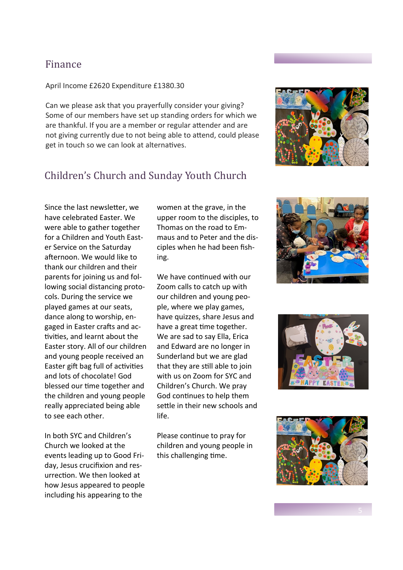# Finance

## April Income £2620 Expenditure £1380.30

Can we please ask that you prayerfully consider your giving? Some of our members have set up standing orders for which we are thankful. If you are a member or regular attender and are not giving currently due to not being able to attend, could please get in touch so we can look at alternatives.

# Children's Church and Sunday Youth Church

Since the last newsletter, we have celebrated Easter. We were able to gather together for a Children and Youth Easter Service on the Saturday afternoon. We would like to thank our children and their parents for joining us and following social distancing protocols. During the service we played games at our seats, dance along to worship, engaged in Easter crafts and activities, and learnt about the Easter story. All of our children and young people received an Easter gift bag full of activities and lots of chocolate! God blessed our time together and the children and young people really appreciated being able to see each other.

In both SYC and Children's Church we looked at the events leading up to Good Friday, Jesus crucifixion and resurrection. We then looked at how Jesus appeared to people including his appearing to the

women at the grave, in the upper room to the disciples, to Thomas on the road to Emmaus and to Peter and the disciples when he had been fishing.

We have continued with our Zoom calls to catch up with our children and young people, where we play games, have quizzes, share Jesus and have a great time together. We are sad to say Ella, Erica and Edward are no longer in Sunderland but we are glad that they are still able to join with us on Zoom for SYC and Children's Church. We pray God continues to help them settle in their new schools and life.

Please continue to pray for children and young people in this challenging time.